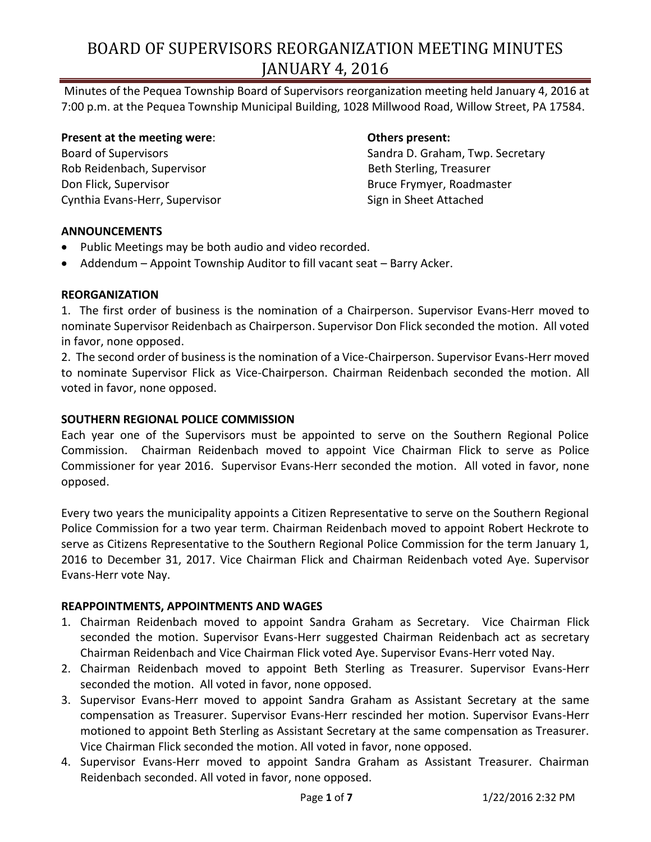Minutes of the Pequea Township Board of Supervisors reorganization meeting held January 4, 2016 at 7:00 p.m. at the Pequea Township Municipal Building, 1028 Millwood Road, Willow Street, PA 17584.

**Present at the meeting were**: **Others present:** Rob Reidenbach, Supervisor **Beth Sterling**, Treasurer Don Flick, Supervisor **Bruce Eliast Contract Contract Contract Contract Contract Contract Contract Contract Contract Contract Contract Contract Contract Contract Contract Contract Contract Contract Contract Contract Contra** Cynthia Evans-Herr, Supervisor Supervisor Sign in Sheet Attached

Board of Supervisors Sandra D. Graham, Twp. Secretary

### **ANNOUNCEMENTS**

- Public Meetings may be both audio and video recorded.
- Addendum Appoint Township Auditor to fill vacant seat Barry Acker.

### **REORGANIZATION**

1. The first order of business is the nomination of a Chairperson. Supervisor Evans-Herr moved to nominate Supervisor Reidenbach as Chairperson. Supervisor Don Flick seconded the motion. All voted in favor, none opposed.

2. The second order of business is the nomination of a Vice-Chairperson. Supervisor Evans-Herr moved to nominate Supervisor Flick as Vice-Chairperson. Chairman Reidenbach seconded the motion. All voted in favor, none opposed.

#### **SOUTHERN REGIONAL POLICE COMMISSION**

Each year one of the Supervisors must be appointed to serve on the Southern Regional Police Commission. Chairman Reidenbach moved to appoint Vice Chairman Flick to serve as Police Commissioner for year 2016. Supervisor Evans-Herr seconded the motion. All voted in favor, none opposed.

Every two years the municipality appoints a Citizen Representative to serve on the Southern Regional Police Commission for a two year term. Chairman Reidenbach moved to appoint Robert Heckrote to serve as Citizens Representative to the Southern Regional Police Commission for the term January 1, 2016 to December 31, 2017. Vice Chairman Flick and Chairman Reidenbach voted Aye. Supervisor Evans-Herr vote Nay.

## **REAPPOINTMENTS, APPOINTMENTS AND WAGES**

- 1. Chairman Reidenbach moved to appoint Sandra Graham as Secretary. Vice Chairman Flick seconded the motion. Supervisor Evans-Herr suggested Chairman Reidenbach act as secretary Chairman Reidenbach and Vice Chairman Flick voted Aye. Supervisor Evans-Herr voted Nay.
- 2. Chairman Reidenbach moved to appoint Beth Sterling as Treasurer. Supervisor Evans-Herr seconded the motion. All voted in favor, none opposed.
- 3. Supervisor Evans-Herr moved to appoint Sandra Graham as Assistant Secretary at the same compensation as Treasurer. Supervisor Evans-Herr rescinded her motion. Supervisor Evans-Herr motioned to appoint Beth Sterling as Assistant Secretary at the same compensation as Treasurer. Vice Chairman Flick seconded the motion. All voted in favor, none opposed.
- 4. Supervisor Evans-Herr moved to appoint Sandra Graham as Assistant Treasurer. Chairman Reidenbach seconded. All voted in favor, none opposed.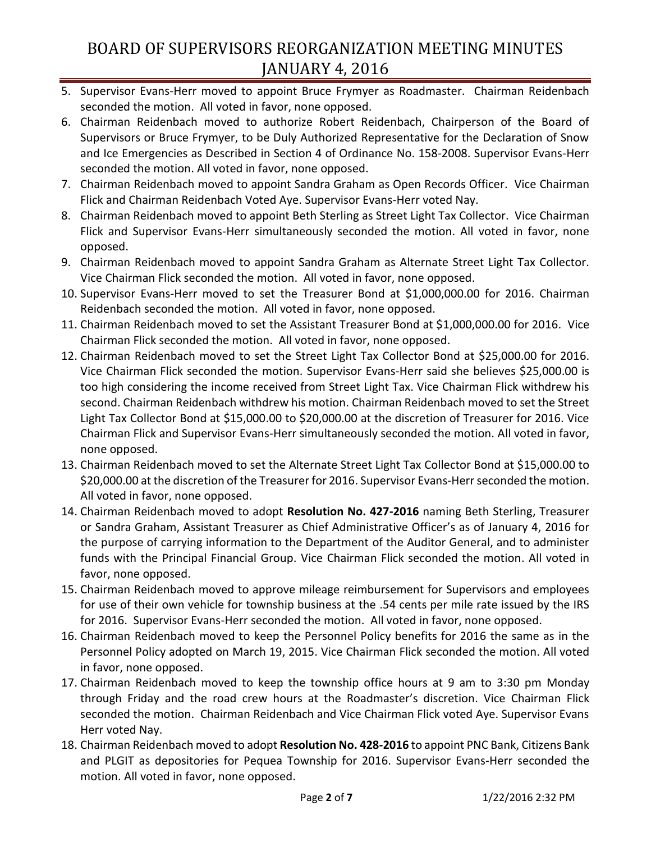- 5. Supervisor Evans-Herr moved to appoint Bruce Frymyer as Roadmaster. Chairman Reidenbach seconded the motion. All voted in favor, none opposed.
- 6. Chairman Reidenbach moved to authorize Robert Reidenbach, Chairperson of the Board of Supervisors or Bruce Frymyer, to be Duly Authorized Representative for the Declaration of Snow and Ice Emergencies as Described in Section 4 of Ordinance No. 158-2008. Supervisor Evans-Herr seconded the motion. All voted in favor, none opposed.
- 7. Chairman Reidenbach moved to appoint Sandra Graham as Open Records Officer. Vice Chairman Flick and Chairman Reidenbach Voted Aye. Supervisor Evans-Herr voted Nay.
- 8. Chairman Reidenbach moved to appoint Beth Sterling as Street Light Tax Collector. Vice Chairman Flick and Supervisor Evans-Herr simultaneously seconded the motion. All voted in favor, none opposed.
- 9. Chairman Reidenbach moved to appoint Sandra Graham as Alternate Street Light Tax Collector. Vice Chairman Flick seconded the motion. All voted in favor, none opposed.
- 10. Supervisor Evans-Herr moved to set the Treasurer Bond at \$1,000,000.00 for 2016. Chairman Reidenbach seconded the motion. All voted in favor, none opposed.
- 11. Chairman Reidenbach moved to set the Assistant Treasurer Bond at \$1,000,000.00 for 2016. Vice Chairman Flick seconded the motion. All voted in favor, none opposed.
- 12. Chairman Reidenbach moved to set the Street Light Tax Collector Bond at \$25,000.00 for 2016. Vice Chairman Flick seconded the motion. Supervisor Evans-Herr said she believes \$25,000.00 is too high considering the income received from Street Light Tax. Vice Chairman Flick withdrew his second. Chairman Reidenbach withdrew his motion. Chairman Reidenbach moved to set the Street Light Tax Collector Bond at \$15,000.00 to \$20,000.00 at the discretion of Treasurer for 2016. Vice Chairman Flick and Supervisor Evans-Herr simultaneously seconded the motion. All voted in favor, none opposed.
- 13. Chairman Reidenbach moved to set the Alternate Street Light Tax Collector Bond at \$15,000.00 to \$20,000.00 at the discretion of the Treasurer for 2016. Supervisor Evans-Herr seconded the motion. All voted in favor, none opposed.
- 14. Chairman Reidenbach moved to adopt **Resolution No. 427-2016** naming Beth Sterling, Treasurer or Sandra Graham, Assistant Treasurer as Chief Administrative Officer's as of January 4, 2016 for the purpose of carrying information to the Department of the Auditor General, and to administer funds with the Principal Financial Group. Vice Chairman Flick seconded the motion. All voted in favor, none opposed.
- 15. Chairman Reidenbach moved to approve mileage reimbursement for Supervisors and employees for use of their own vehicle for township business at the .54 cents per mile rate issued by the IRS for 2016. Supervisor Evans-Herr seconded the motion. All voted in favor, none opposed.
- 16. Chairman Reidenbach moved to keep the Personnel Policy benefits for 2016 the same as in the Personnel Policy adopted on March 19, 2015. Vice Chairman Flick seconded the motion. All voted in favor, none opposed.
- 17. Chairman Reidenbach moved to keep the township office hours at 9 am to 3:30 pm Monday through Friday and the road crew hours at the Roadmaster's discretion. Vice Chairman Flick seconded the motion. Chairman Reidenbach and Vice Chairman Flick voted Aye. Supervisor Evans Herr voted Nay.
- 18. Chairman Reidenbach moved to adopt **Resolution No. 428-2016** to appoint PNC Bank, Citizens Bank and PLGIT as depositories for Pequea Township for 2016. Supervisor Evans-Herr seconded the motion. All voted in favor, none opposed.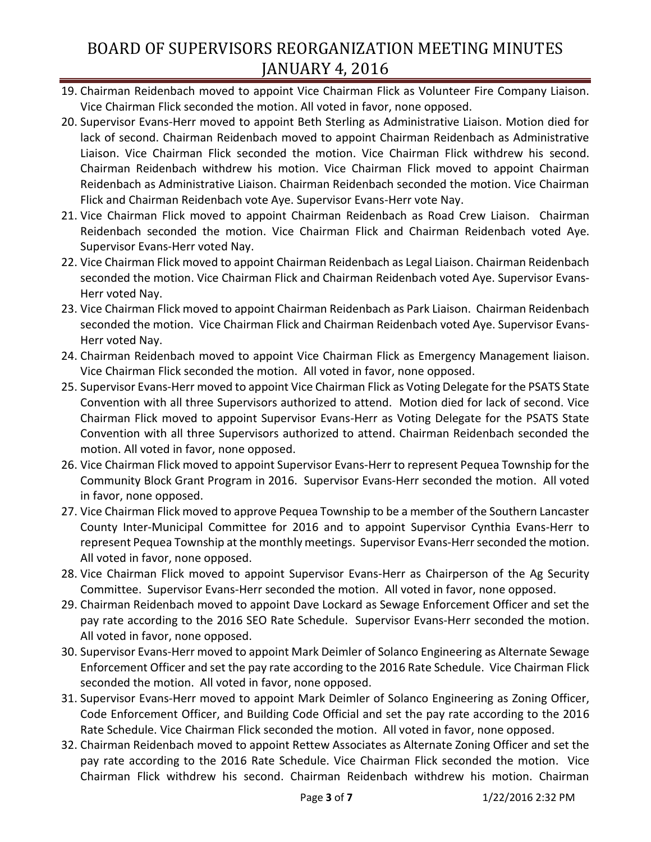- 19. Chairman Reidenbach moved to appoint Vice Chairman Flick as Volunteer Fire Company Liaison. Vice Chairman Flick seconded the motion. All voted in favor, none opposed.
- 20. Supervisor Evans-Herr moved to appoint Beth Sterling as Administrative Liaison. Motion died for lack of second. Chairman Reidenbach moved to appoint Chairman Reidenbach as Administrative Liaison. Vice Chairman Flick seconded the motion. Vice Chairman Flick withdrew his second. Chairman Reidenbach withdrew his motion. Vice Chairman Flick moved to appoint Chairman Reidenbach as Administrative Liaison. Chairman Reidenbach seconded the motion. Vice Chairman Flick and Chairman Reidenbach vote Aye. Supervisor Evans-Herr vote Nay.
- 21. Vice Chairman Flick moved to appoint Chairman Reidenbach as Road Crew Liaison. Chairman Reidenbach seconded the motion. Vice Chairman Flick and Chairman Reidenbach voted Aye. Supervisor Evans-Herr voted Nay.
- 22. Vice Chairman Flick moved to appoint Chairman Reidenbach as Legal Liaison. Chairman Reidenbach seconded the motion. Vice Chairman Flick and Chairman Reidenbach voted Aye. Supervisor Evans-Herr voted Nay.
- 23. Vice Chairman Flick moved to appoint Chairman Reidenbach as Park Liaison. Chairman Reidenbach seconded the motion. Vice Chairman Flick and Chairman Reidenbach voted Aye. Supervisor Evans-Herr voted Nay.
- 24. Chairman Reidenbach moved to appoint Vice Chairman Flick as Emergency Management liaison. Vice Chairman Flick seconded the motion. All voted in favor, none opposed.
- 25. Supervisor Evans-Herr moved to appoint Vice Chairman Flick as Voting Delegate for the PSATS State Convention with all three Supervisors authorized to attend. Motion died for lack of second. Vice Chairman Flick moved to appoint Supervisor Evans-Herr as Voting Delegate for the PSATS State Convention with all three Supervisors authorized to attend. Chairman Reidenbach seconded the motion. All voted in favor, none opposed.
- 26. Vice Chairman Flick moved to appoint Supervisor Evans-Herr to represent Pequea Township for the Community Block Grant Program in 2016. Supervisor Evans-Herr seconded the motion. All voted in favor, none opposed.
- 27. Vice Chairman Flick moved to approve Pequea Township to be a member of the Southern Lancaster County Inter-Municipal Committee for 2016 and to appoint Supervisor Cynthia Evans-Herr to represent Pequea Township at the monthly meetings. Supervisor Evans-Herr seconded the motion. All voted in favor, none opposed.
- 28. Vice Chairman Flick moved to appoint Supervisor Evans-Herr as Chairperson of the Ag Security Committee. Supervisor Evans-Herr seconded the motion. All voted in favor, none opposed.
- 29. Chairman Reidenbach moved to appoint Dave Lockard as Sewage Enforcement Officer and set the pay rate according to the 2016 SEO Rate Schedule. Supervisor Evans-Herr seconded the motion. All voted in favor, none opposed.
- 30. Supervisor Evans-Herr moved to appoint Mark Deimler of Solanco Engineering as Alternate Sewage Enforcement Officer and set the pay rate according to the 2016 Rate Schedule. Vice Chairman Flick seconded the motion. All voted in favor, none opposed.
- 31. Supervisor Evans-Herr moved to appoint Mark Deimler of Solanco Engineering as Zoning Officer, Code Enforcement Officer, and Building Code Official and set the pay rate according to the 2016 Rate Schedule. Vice Chairman Flick seconded the motion. All voted in favor, none opposed.
- 32. Chairman Reidenbach moved to appoint Rettew Associates as Alternate Zoning Officer and set the pay rate according to the 2016 Rate Schedule. Vice Chairman Flick seconded the motion. Vice Chairman Flick withdrew his second. Chairman Reidenbach withdrew his motion. Chairman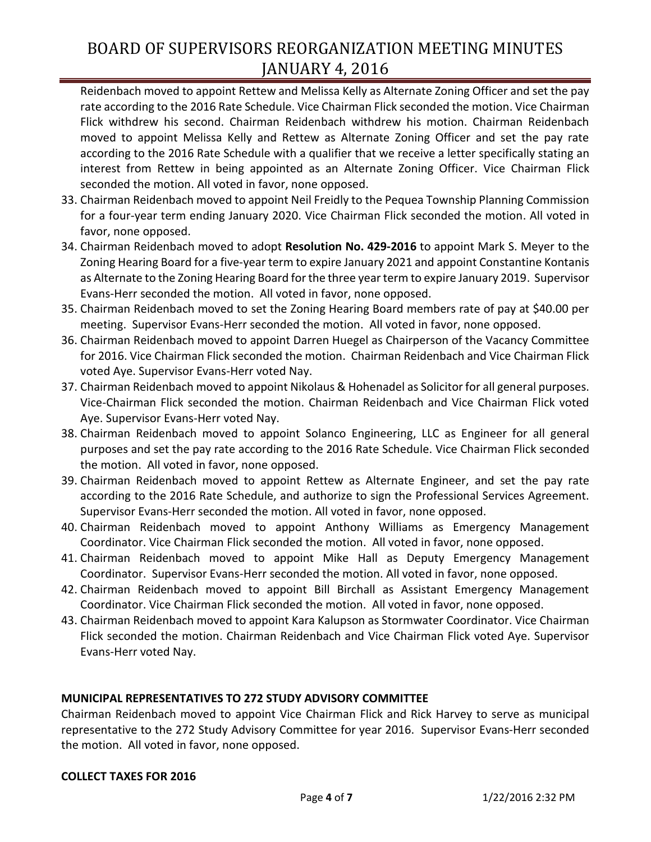Reidenbach moved to appoint Rettew and Melissa Kelly as Alternate Zoning Officer and set the pay rate according to the 2016 Rate Schedule. Vice Chairman Flick seconded the motion. Vice Chairman Flick withdrew his second. Chairman Reidenbach withdrew his motion. Chairman Reidenbach moved to appoint Melissa Kelly and Rettew as Alternate Zoning Officer and set the pay rate according to the 2016 Rate Schedule with a qualifier that we receive a letter specifically stating an interest from Rettew in being appointed as an Alternate Zoning Officer. Vice Chairman Flick seconded the motion. All voted in favor, none opposed.

- 33. Chairman Reidenbach moved to appoint Neil Freidly to the Pequea Township Planning Commission for a four-year term ending January 2020. Vice Chairman Flick seconded the motion. All voted in favor, none opposed.
- 34. Chairman Reidenbach moved to adopt **Resolution No. 429-2016** to appoint Mark S. Meyer to the Zoning Hearing Board for a five-year term to expire January 2021 and appoint Constantine Kontanis as Alternate to the Zoning Hearing Board for the three year term to expire January 2019. Supervisor Evans-Herr seconded the motion. All voted in favor, none opposed.
- 35. Chairman Reidenbach moved to set the Zoning Hearing Board members rate of pay at \$40.00 per meeting. Supervisor Evans-Herr seconded the motion. All voted in favor, none opposed.
- 36. Chairman Reidenbach moved to appoint Darren Huegel as Chairperson of the Vacancy Committee for 2016. Vice Chairman Flick seconded the motion. Chairman Reidenbach and Vice Chairman Flick voted Aye. Supervisor Evans-Herr voted Nay.
- 37. Chairman Reidenbach moved to appoint Nikolaus & Hohenadel as Solicitor for all general purposes. Vice-Chairman Flick seconded the motion. Chairman Reidenbach and Vice Chairman Flick voted Aye. Supervisor Evans-Herr voted Nay.
- 38. Chairman Reidenbach moved to appoint Solanco Engineering, LLC as Engineer for all general purposes and set the pay rate according to the 2016 Rate Schedule. Vice Chairman Flick seconded the motion. All voted in favor, none opposed.
- 39. Chairman Reidenbach moved to appoint Rettew as Alternate Engineer, and set the pay rate according to the 2016 Rate Schedule, and authorize to sign the Professional Services Agreement. Supervisor Evans-Herr seconded the motion. All voted in favor, none opposed.
- 40. Chairman Reidenbach moved to appoint Anthony Williams as Emergency Management Coordinator. Vice Chairman Flick seconded the motion. All voted in favor, none opposed.
- 41. Chairman Reidenbach moved to appoint Mike Hall as Deputy Emergency Management Coordinator. Supervisor Evans-Herr seconded the motion. All voted in favor, none opposed.
- 42. Chairman Reidenbach moved to appoint Bill Birchall as Assistant Emergency Management Coordinator. Vice Chairman Flick seconded the motion. All voted in favor, none opposed.
- 43. Chairman Reidenbach moved to appoint Kara Kalupson as Stormwater Coordinator. Vice Chairman Flick seconded the motion. Chairman Reidenbach and Vice Chairman Flick voted Aye. Supervisor Evans-Herr voted Nay.

## **MUNICIPAL REPRESENTATIVES TO 272 STUDY ADVISORY COMMITTEE**

Chairman Reidenbach moved to appoint Vice Chairman Flick and Rick Harvey to serve as municipal representative to the 272 Study Advisory Committee for year 2016. Supervisor Evans-Herr seconded the motion. All voted in favor, none opposed.

## **COLLECT TAXES FOR 2016**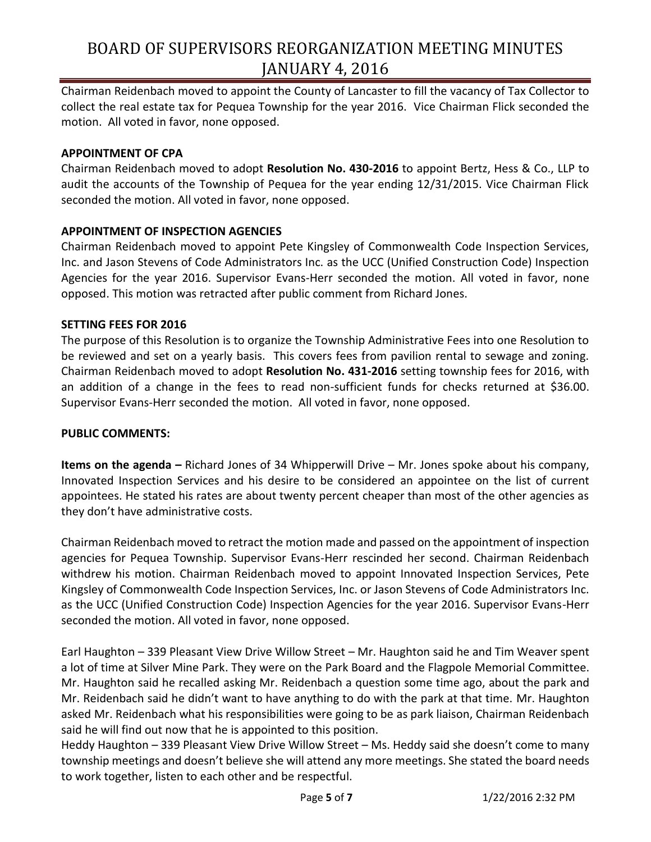Chairman Reidenbach moved to appoint the County of Lancaster to fill the vacancy of Tax Collector to collect the real estate tax for Pequea Township for the year 2016. Vice Chairman Flick seconded the motion. All voted in favor, none opposed.

#### **APPOINTMENT OF CPA**

Chairman Reidenbach moved to adopt **Resolution No. 430-2016** to appoint Bertz, Hess & Co., LLP to audit the accounts of the Township of Pequea for the year ending 12/31/2015. Vice Chairman Flick seconded the motion. All voted in favor, none opposed.

### **APPOINTMENT OF INSPECTION AGENCIES**

Chairman Reidenbach moved to appoint Pete Kingsley of Commonwealth Code Inspection Services, Inc. and Jason Stevens of Code Administrators Inc. as the UCC (Unified Construction Code) Inspection Agencies for the year 2016. Supervisor Evans-Herr seconded the motion. All voted in favor, none opposed. This motion was retracted after public comment from Richard Jones.

#### **SETTING FEES FOR 2016**

The purpose of this Resolution is to organize the Township Administrative Fees into one Resolution to be reviewed and set on a yearly basis. This covers fees from pavilion rental to sewage and zoning. Chairman Reidenbach moved to adopt **Resolution No. 431-2016** setting township fees for 2016, with an addition of a change in the fees to read non-sufficient funds for checks returned at \$36.00. Supervisor Evans-Herr seconded the motion. All voted in favor, none opposed.

#### **PUBLIC COMMENTS:**

**Items on the agenda –** Richard Jones of 34 Whipperwill Drive – Mr. Jones spoke about his company, Innovated Inspection Services and his desire to be considered an appointee on the list of current appointees. He stated his rates are about twenty percent cheaper than most of the other agencies as they don't have administrative costs.

Chairman Reidenbach moved to retract the motion made and passed on the appointment of inspection agencies for Pequea Township. Supervisor Evans-Herr rescinded her second. Chairman Reidenbach withdrew his motion. Chairman Reidenbach moved to appoint Innovated Inspection Services, Pete Kingsley of Commonwealth Code Inspection Services, Inc. or Jason Stevens of Code Administrators Inc. as the UCC (Unified Construction Code) Inspection Agencies for the year 2016. Supervisor Evans-Herr seconded the motion. All voted in favor, none opposed.

Earl Haughton – 339 Pleasant View Drive Willow Street – Mr. Haughton said he and Tim Weaver spent a lot of time at Silver Mine Park. They were on the Park Board and the Flagpole Memorial Committee. Mr. Haughton said he recalled asking Mr. Reidenbach a question some time ago, about the park and Mr. Reidenbach said he didn't want to have anything to do with the park at that time. Mr. Haughton asked Mr. Reidenbach what his responsibilities were going to be as park liaison, Chairman Reidenbach said he will find out now that he is appointed to this position.

Heddy Haughton – 339 Pleasant View Drive Willow Street – Ms. Heddy said she doesn't come to many township meetings and doesn't believe she will attend any more meetings. She stated the board needs to work together, listen to each other and be respectful.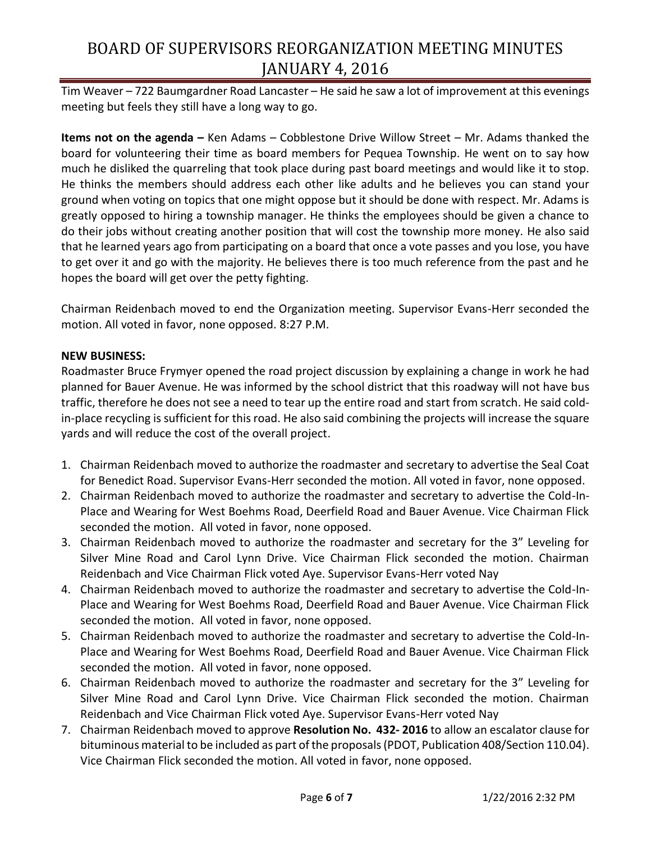Tim Weaver – 722 Baumgardner Road Lancaster – He said he saw a lot of improvement at this evenings meeting but feels they still have a long way to go.

**Items not on the agenda –** Ken Adams – Cobblestone Drive Willow Street – Mr. Adams thanked the board for volunteering their time as board members for Pequea Township. He went on to say how much he disliked the quarreling that took place during past board meetings and would like it to stop. He thinks the members should address each other like adults and he believes you can stand your ground when voting on topics that one might oppose but it should be done with respect. Mr. Adams is greatly opposed to hiring a township manager. He thinks the employees should be given a chance to do their jobs without creating another position that will cost the township more money. He also said that he learned years ago from participating on a board that once a vote passes and you lose, you have to get over it and go with the majority. He believes there is too much reference from the past and he hopes the board will get over the petty fighting.

Chairman Reidenbach moved to end the Organization meeting. Supervisor Evans-Herr seconded the motion. All voted in favor, none opposed. 8:27 P.M.

### **NEW BUSINESS:**

Roadmaster Bruce Frymyer opened the road project discussion by explaining a change in work he had planned for Bauer Avenue. He was informed by the school district that this roadway will not have bus traffic, therefore he does not see a need to tear up the entire road and start from scratch. He said coldin-place recycling is sufficient for this road. He also said combining the projects will increase the square yards and will reduce the cost of the overall project.

- 1. Chairman Reidenbach moved to authorize the roadmaster and secretary to advertise the Seal Coat for Benedict Road. Supervisor Evans-Herr seconded the motion. All voted in favor, none opposed.
- 2. Chairman Reidenbach moved to authorize the roadmaster and secretary to advertise the Cold-In-Place and Wearing for West Boehms Road, Deerfield Road and Bauer Avenue. Vice Chairman Flick seconded the motion. All voted in favor, none opposed.
- 3. Chairman Reidenbach moved to authorize the roadmaster and secretary for the 3" Leveling for Silver Mine Road and Carol Lynn Drive. Vice Chairman Flick seconded the motion. Chairman Reidenbach and Vice Chairman Flick voted Aye. Supervisor Evans-Herr voted Nay
- 4. Chairman Reidenbach moved to authorize the roadmaster and secretary to advertise the Cold-In-Place and Wearing for West Boehms Road, Deerfield Road and Bauer Avenue. Vice Chairman Flick seconded the motion. All voted in favor, none opposed.
- 5. Chairman Reidenbach moved to authorize the roadmaster and secretary to advertise the Cold-In-Place and Wearing for West Boehms Road, Deerfield Road and Bauer Avenue. Vice Chairman Flick seconded the motion. All voted in favor, none opposed.
- 6. Chairman Reidenbach moved to authorize the roadmaster and secretary for the 3" Leveling for Silver Mine Road and Carol Lynn Drive. Vice Chairman Flick seconded the motion. Chairman Reidenbach and Vice Chairman Flick voted Aye. Supervisor Evans-Herr voted Nay
- 7. Chairman Reidenbach moved to approve **Resolution No. 432- 2016** to allow an escalator clause for bituminous material to be included as part of the proposals (PDOT, Publication 408/Section 110.04). Vice Chairman Flick seconded the motion. All voted in favor, none opposed.